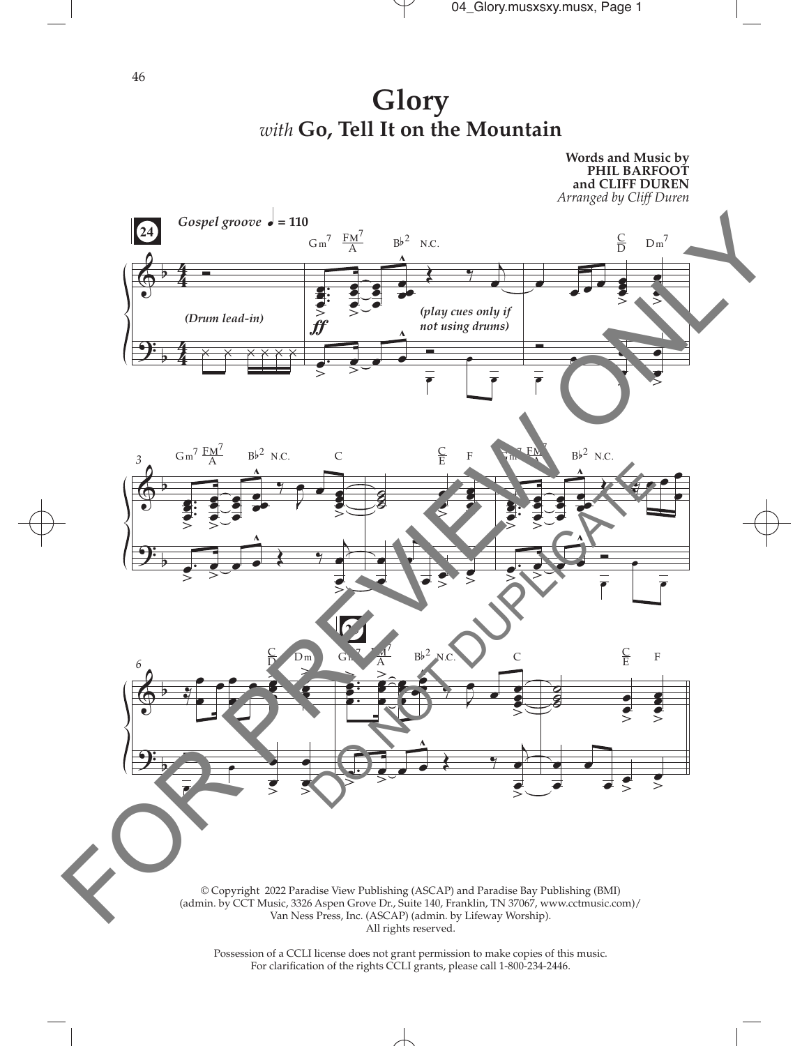

**Glory** *with* **Go, Tell It on the Mountain**



Possession of a CCLI license does not grant permission to make copies of this music. For clarifcation of the rights CCLI grants, please call 1-800-234-2446.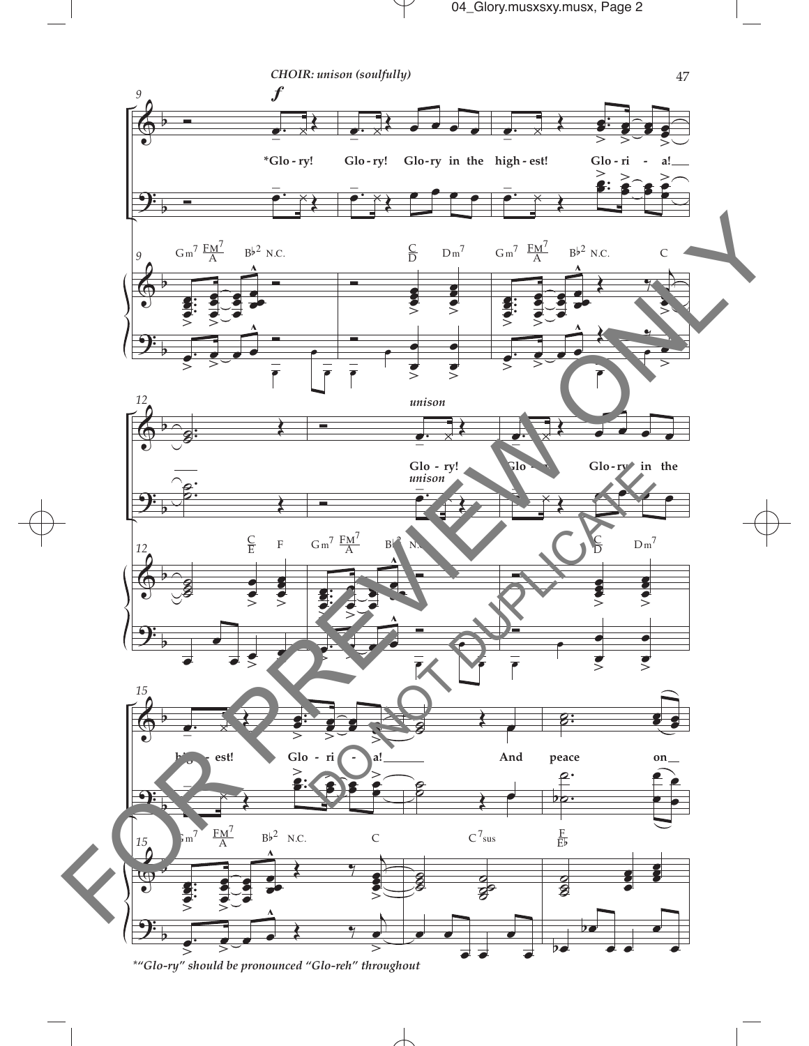

\*"Glo-ry" should be pronounced "Glo-reh" throughout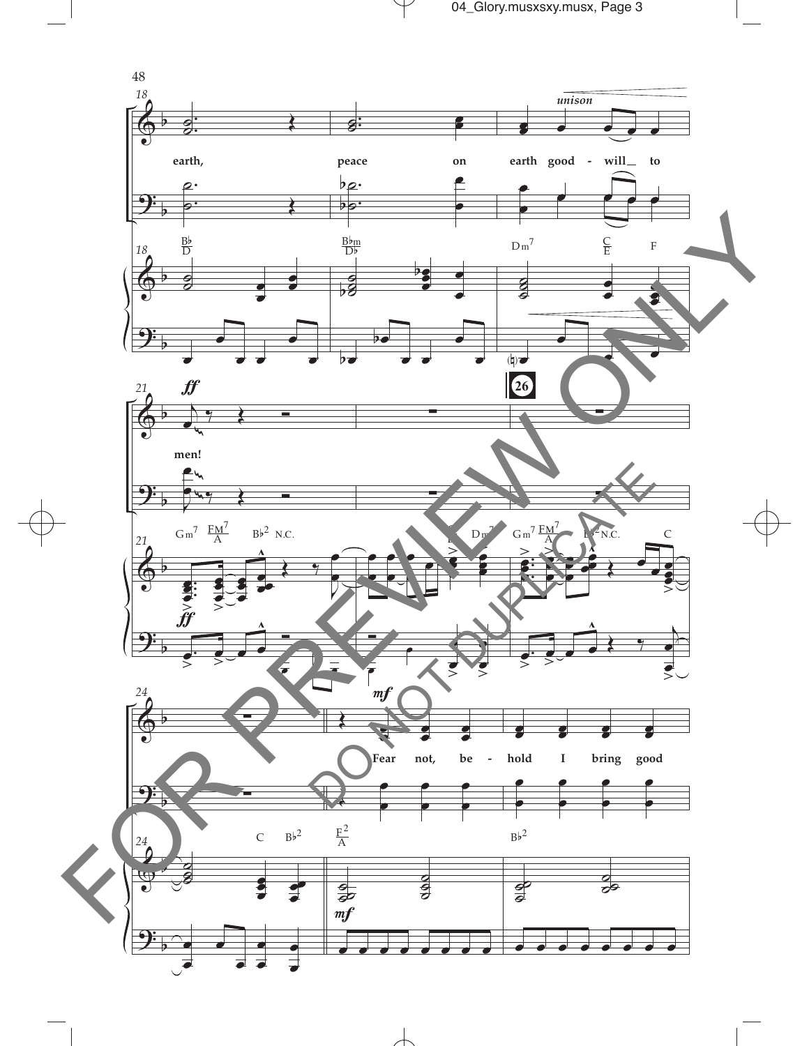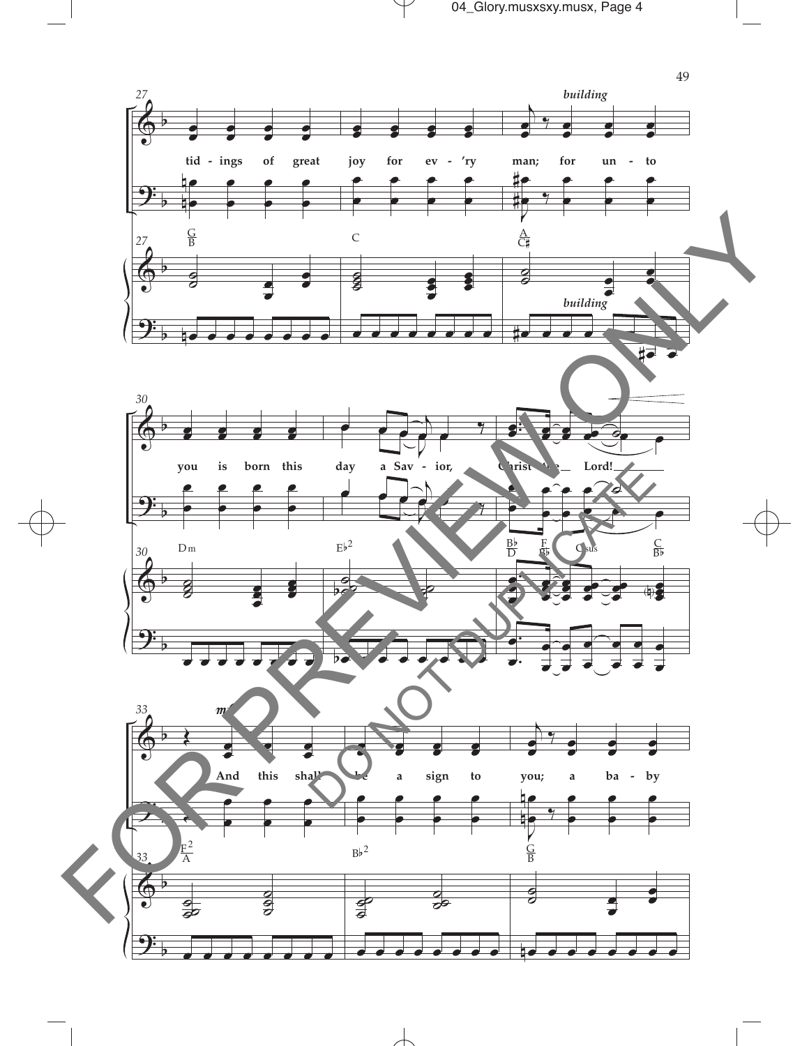

 $\overline{\mathcal{A}}$ 

 $\overline{\phantom{0}}$ 

 $\top$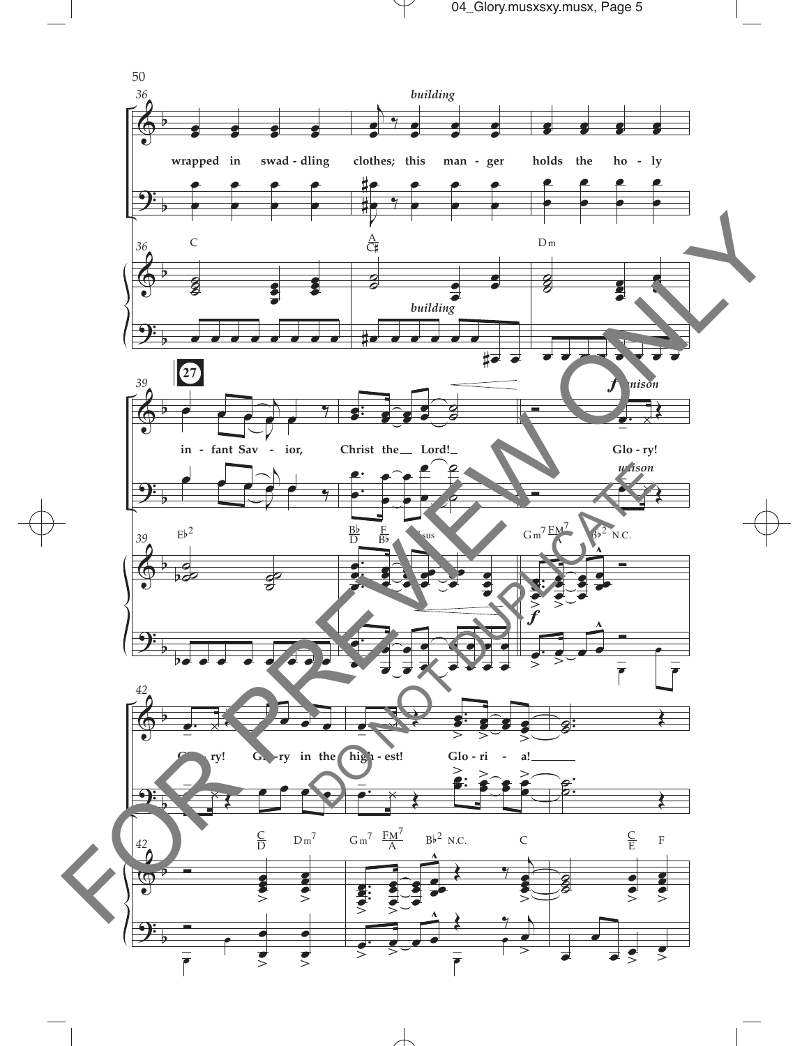

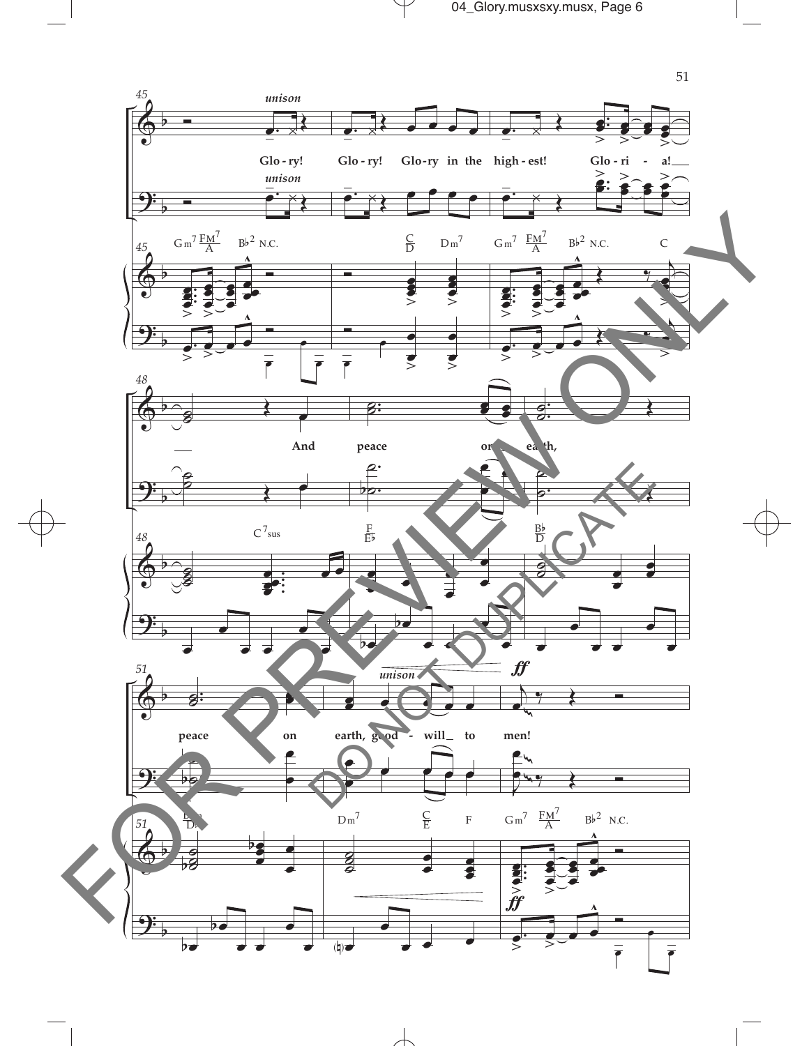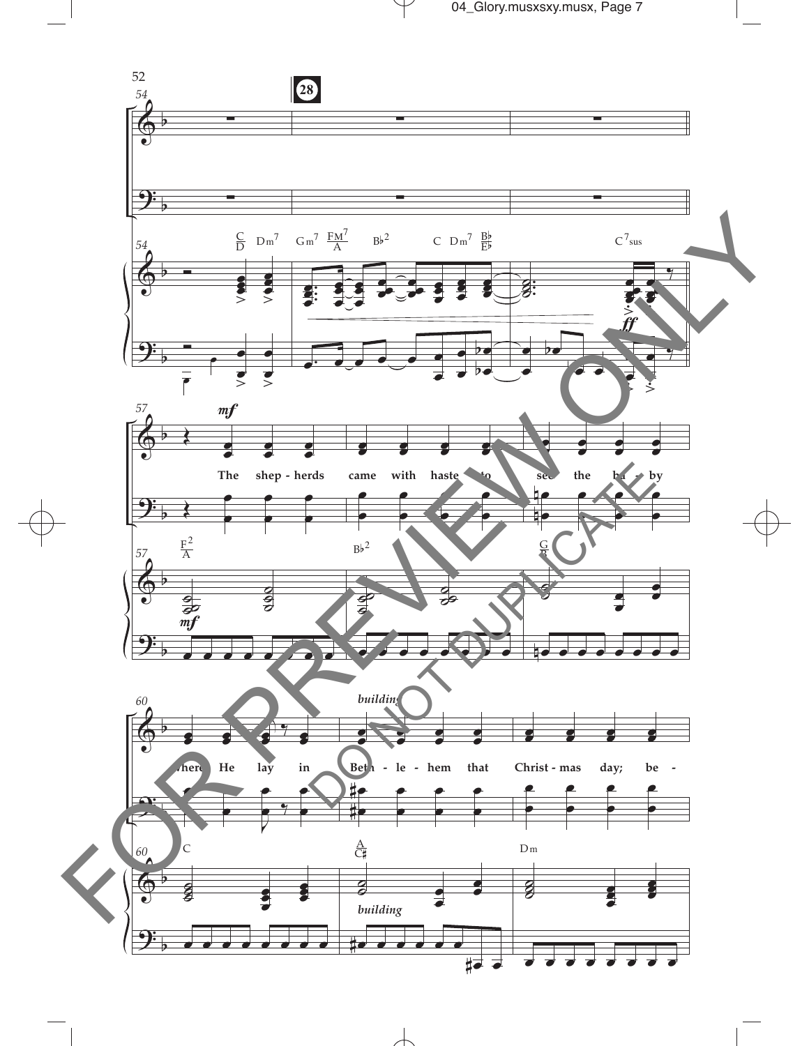



 $\overline{\mathcal{A}}$ 

 $\blacksquare$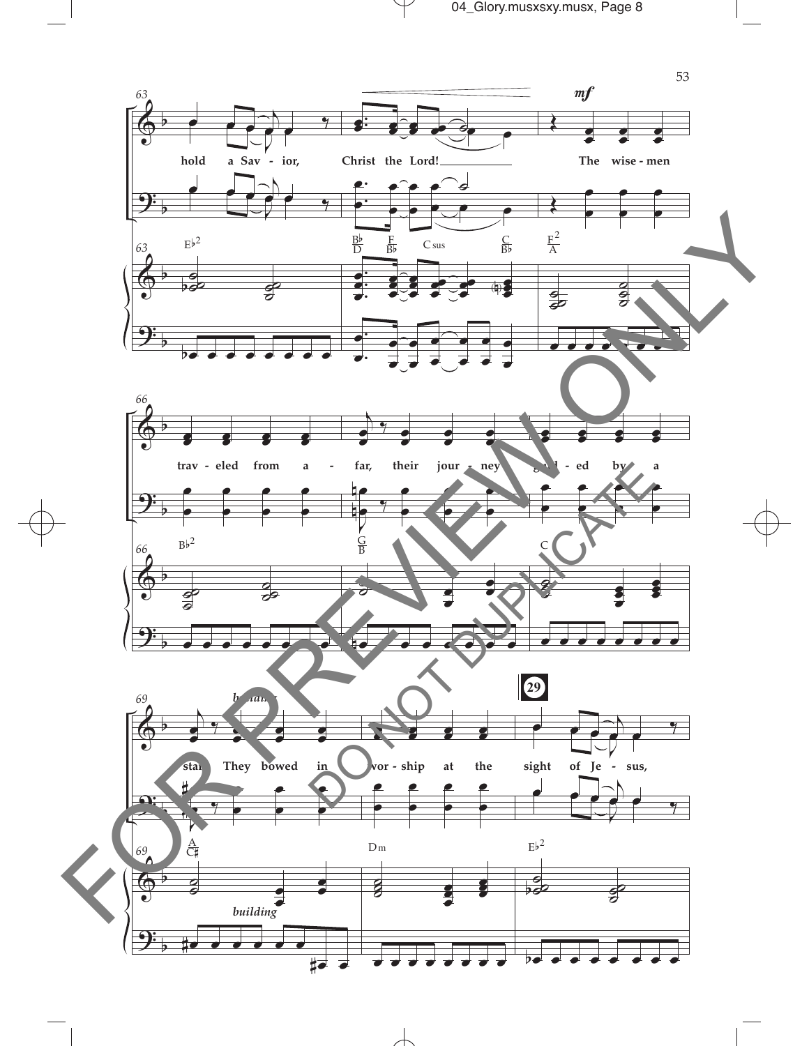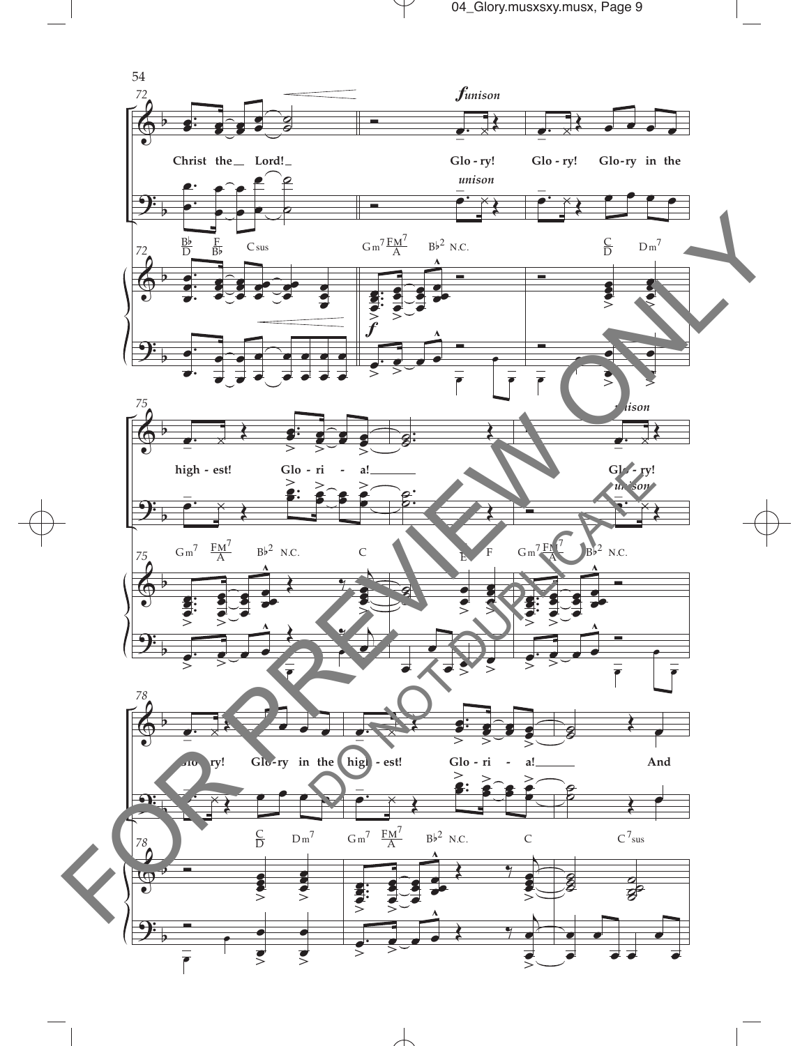

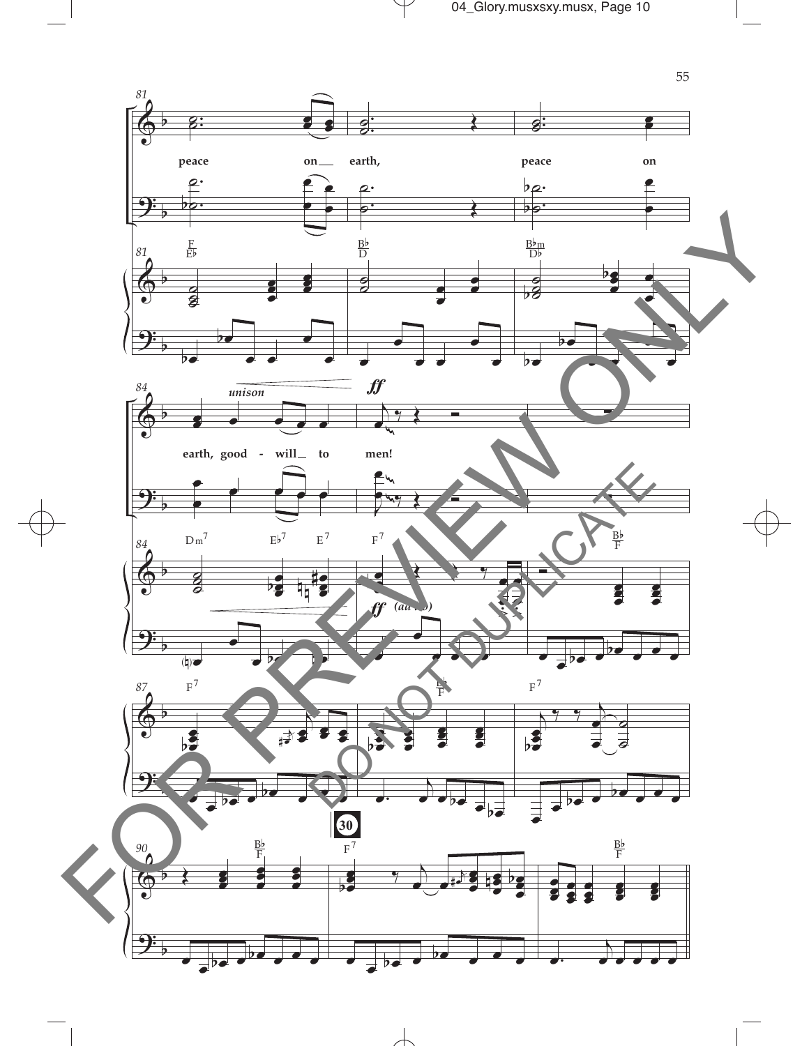

 $\mathcal Y$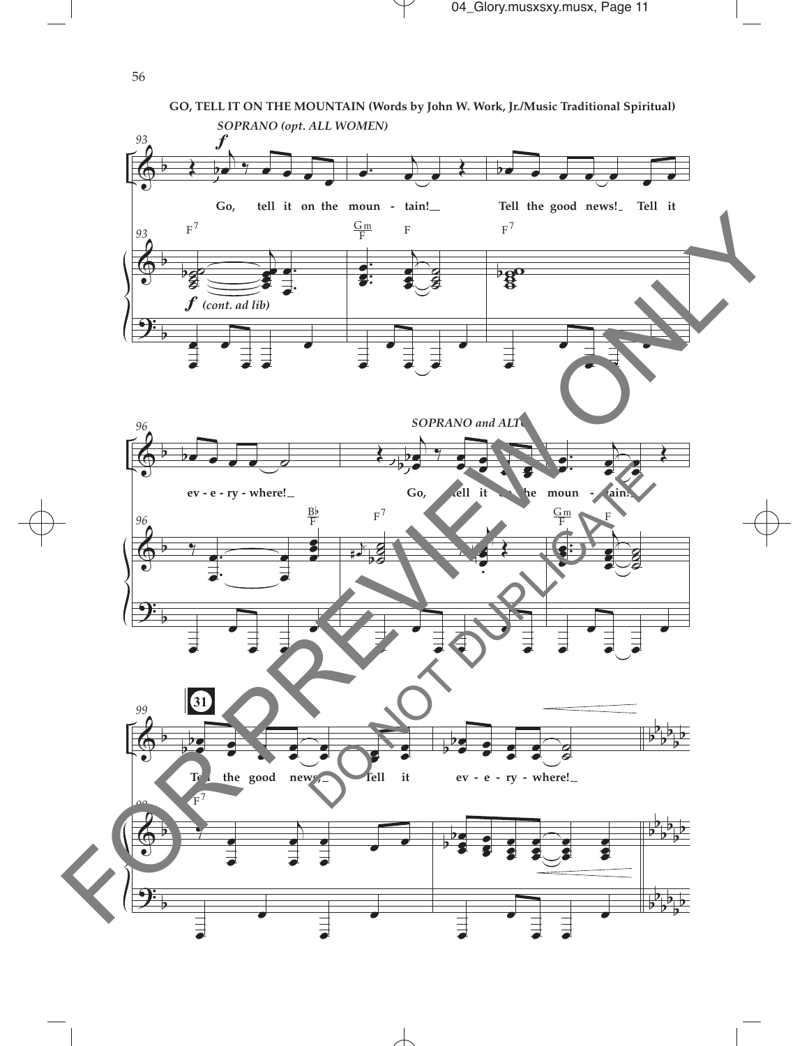

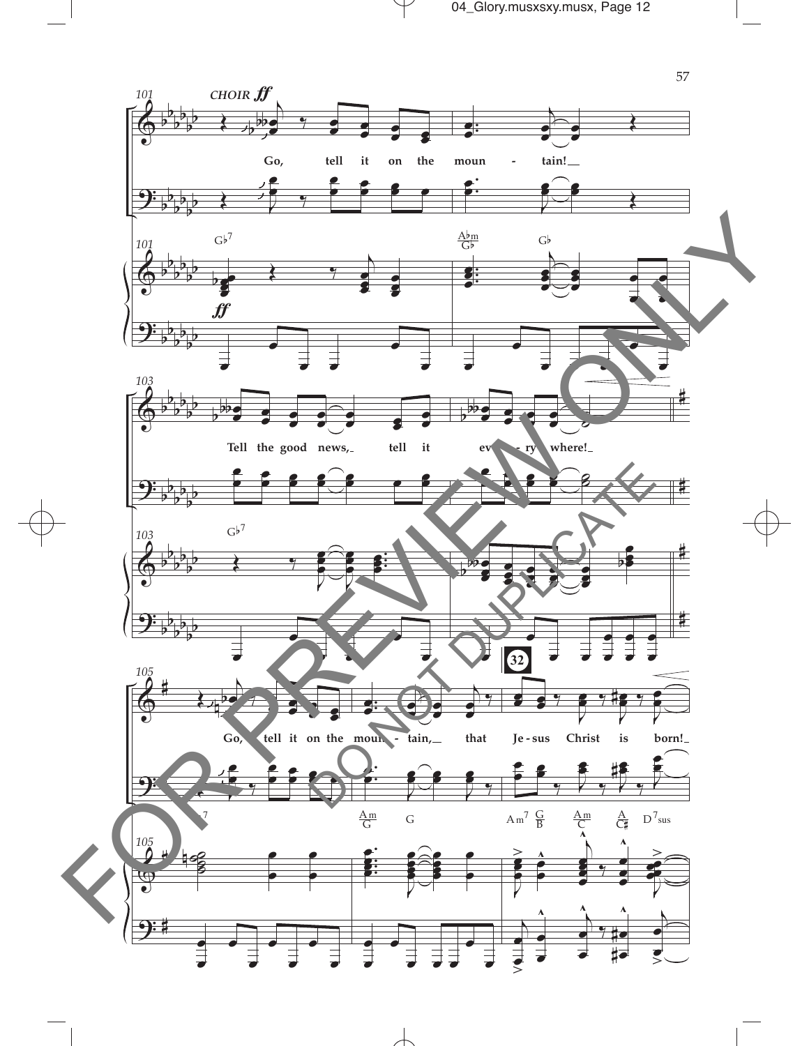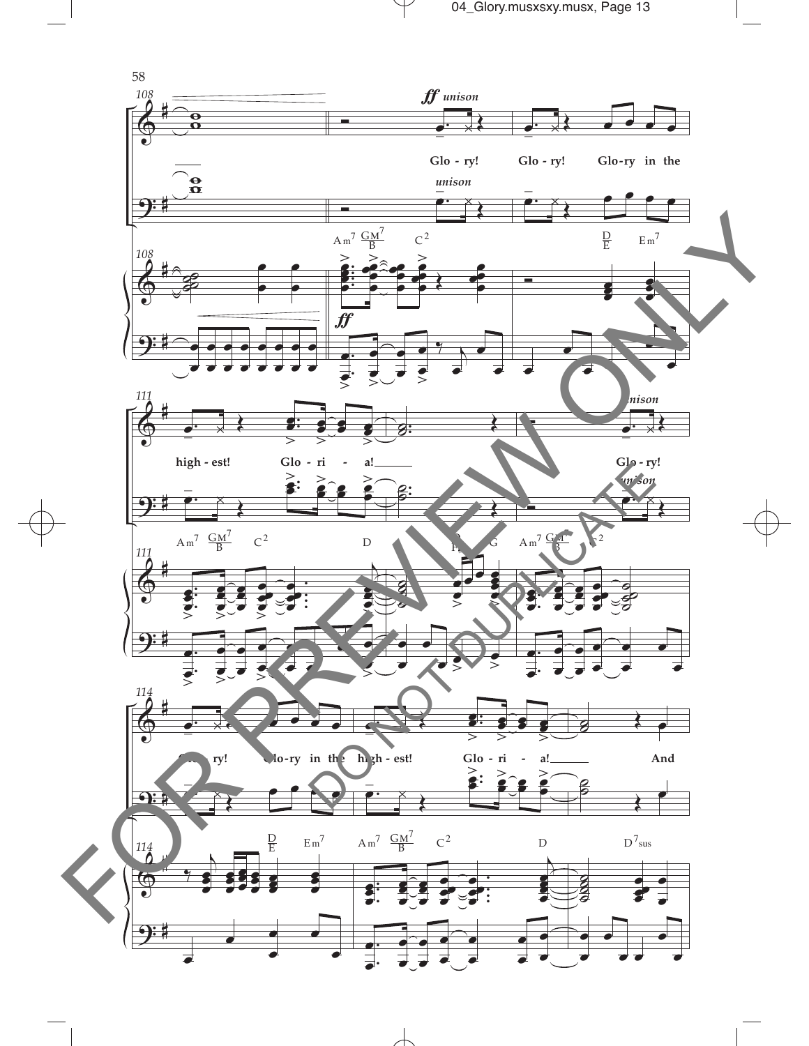